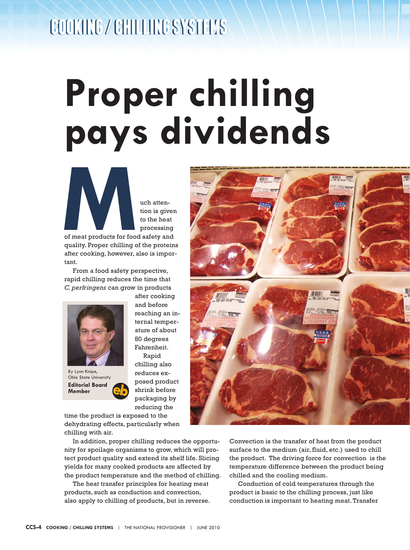## **COOKING / CHILLING SYSTEMS COOKING / CHILLING SYSTEMS**

## **Proper chilling pays dividends**

**M**uch attention is give

tion is given to the heat processing

of meat products for food safety and quality. Proper chilling of the proteins after cooking, however, also is important.

From a food safety perspective, rapid chilling reduces the time that *C. perfringens* can grow in products



after cooking and before reaching an internal temperature of about 80 degrees Fahrenheit. Rapid

**Editorial Board Member** By Lynn Knipe, Ohio State University

chilling also reduces exposed product shrink before packaging by reducing the

time the product is exposed to the dehydrating effects, particularly when chilling with air.

In addition, proper chilling reduces the opportunity for spoilage organisms to grow, which will protect product quality and extend its shelf life. Slicing yields for many cooked products are affected by the product temperature and the method of chilling.

The heat transfer principles for heating meat products, such as conduction and convection, also apply to chilling of products, but in reverse.



Convection is the transfer of heat from the product surface to the medium (air, fluid, etc.) used to chill the product. The driving force for convection is the temperature difference between the product being chilled and the cooling medium.

Conduction of cold temperatures through the product is basic to the chilling process, just like conduction is important to heating meat. Transfer